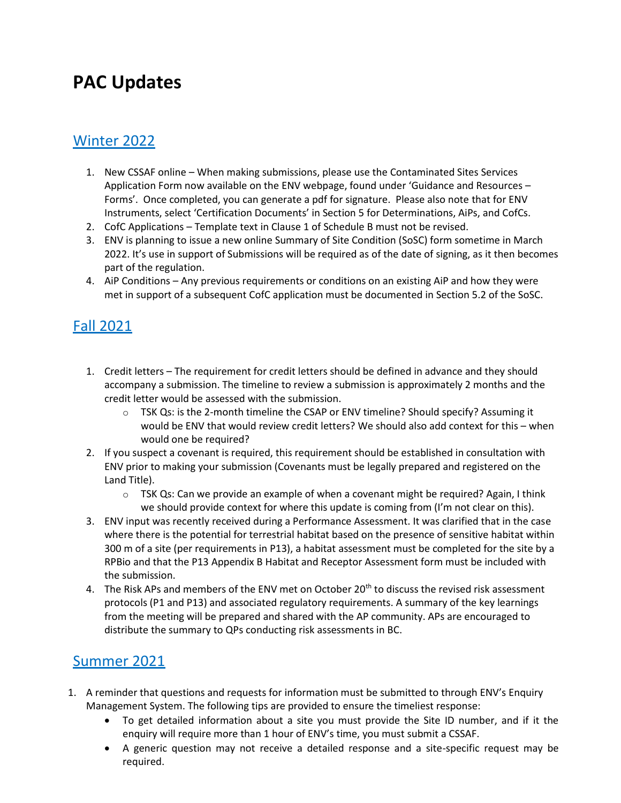# **PAC Updates**

# Winter 2022

- 1. New CSSAF online When making submissions, please use the Contaminated Sites Services Application Form now available on the ENV webpage, found under 'Guidance and Resources – Forms'. Once completed, you can generate a pdf for signature. Please also note that for ENV Instruments, select 'Certification Documents' in Section 5 for Determinations, AiPs, and CofCs.
- 2. CofC Applications Template text in Clause 1 of Schedule B must not be revised.
- 3. ENV is planning to issue a new online Summary of Site Condition (SoSC) form sometime in March 2022. It's use in support of Submissions will be required as of the date of signing, as it then becomes part of the regulation.
- 4. AiP Conditions Any previous requirements or conditions on an existing AiP and how they were met in support of a subsequent CofC application must be documented in Section 5.2 of the SoSC.

# Fall 2021

- 1. Credit letters The requirement for credit letters should be defined in advance and they should accompany a submission. The timeline to review a submission is approximately 2 months and the credit letter would be assessed with the submission.
	- o TSK Qs: is the 2-month timeline the CSAP or ENV timeline? Should specify? Assuming it would be ENV that would review credit letters? We should also add context for this – when would one be required?
- 2. If you suspect a covenant is required, this requirement should be established in consultation with ENV prior to making your submission (Covenants must be legally prepared and registered on the Land Title).
	- $\circ$  TSK Qs: Can we provide an example of when a covenant might be required? Again, I think we should provide context for where this update is coming from (I'm not clear on this).
- 3. ENV input was recently received during a Performance Assessment. It was clarified that in the case where there is the potential for terrestrial habitat based on the presence of sensitive habitat within 300 m of a site (per requirements in P13), a habitat assessment must be completed for the site by a RPBio and that the P13 Appendix B Habitat and Receptor Assessment form must be included with the submission.
- 4. The Risk APs and members of the ENV met on October 20<sup>th</sup> to discuss the revised risk assessment protocols (P1 and P13) and associated regulatory requirements. A summary of the key learnings from the meeting will be prepared and shared with the AP community. APs are encouraged to distribute the summary to QPs conducting risk assessments in BC.

# Summer 2021

- 1. A reminder that questions and requests for information must be submitted to through ENV's Enquiry Management System. The following tips are provided to ensure the timeliest response:
	- To get detailed information about a site you must provide the Site ID number, and if it the enquiry will require more than 1 hour of ENV's time, you must submit a CSSAF.
	- A generic question may not receive a detailed response and a site-specific request may be required.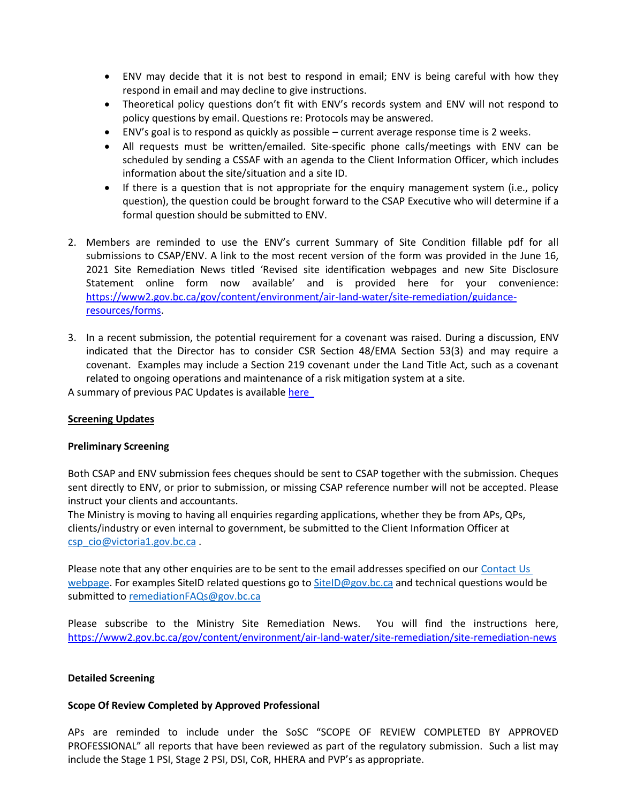- ENV may decide that it is not best to respond in email; ENV is being careful with how they respond in email and may decline to give instructions.
- Theoretical policy questions don't fit with ENV's records system and ENV will not respond to policy questions by email. Questions re: Protocols may be answered.
- ENV's goal is to respond as quickly as possible current average response time is 2 weeks.
- All requests must be written/emailed. Site-specific phone calls/meetings with ENV can be scheduled by sending a CSSAF with an agenda to the Client Information Officer, which includes information about the site/situation and a site ID.
- If there is a question that is not appropriate for the enquiry management system (i.e., policy question), the question could be brought forward to the CSAP Executive who will determine if a formal question should be submitted to ENV.
- 2. Members are reminded to use the ENV's current Summary of Site Condition fillable pdf for all submissions to CSAP/ENV. A link to the most recent version of the form was provided in the June 16, 2021 Site Remediation News titled 'Revised site identification webpages and new Site Disclosure Statement online form now available' and is provided here for your convenience: [https://www2.gov.bc.ca/gov/content/environment/air-land-water/site-remediation/guidance](https://www2.gov.bc.ca/gov/content/environment/air-land-water/site-remediation/guidance-resources/forms)[resources/forms.](https://www2.gov.bc.ca/gov/content/environment/air-land-water/site-remediation/guidance-resources/forms)
- 3. In a recent submission, the potential requirement for a covenant was raised. During a discussion, ENV indicated that the Director has to consider CSR Section 48/EMA Section 53(3) and may require a covenant. Examples may include a Section 219 covenant under the Land Title Act, such as a covenant related to ongoing operations and maintenance of a risk mitigation system at a site.

A summary of previous PAC Updates is available [here](https://csapsociety.bc.ca/wp-content/uploads/Performance-Assessment-Committee-Updates-Winter-2021.pdf) 

#### **Screening Updates**

#### **Preliminary Screening**

Both CSAP and ENV submission fees cheques should be sent to CSAP together with the submission. Cheques sent directly to ENV, or prior to submission, or missing CSAP reference number will not be accepted. Please instruct your clients and accountants.

The Ministry is moving to having all enquiries regarding applications, whether they be from APs, QPs, clients/industry or even internal to government, be submitted to the Client Information Officer at [csp\\_cio@victoria1.gov.bc.ca](mailto:csp_cio@victoria1.gov.bc.ca) .

Please note that any other enquiries are to be sent to the email addresses specified on our Contact Us [webpage.](https://can01.safelinks.protection.outlook.com/?url=https%3A%2F%2Fwww2.gov.bc.ca%2Fgov%2Fcontent%3Fid%3DA4D08BEE59244B8BA9DBBA13DF620BDC&data=04%7C01%7Cnpomareda%40csapsociety.bc.ca%7C7476038d27d6416161cf08d967dc5256%7Cab97e2b2085f45ba971aec284160d874%7C0%7C0%7C637655018238726805%7CUnknown%7CTWFpbGZsb3d8eyJWIjoiMC4wLjAwMDAiLCJQIjoiV2luMzIiLCJBTiI6Ik1haWwiLCJXVCI6Mn0%3D%7C1000&sdata=KDJNxQ6pi5Ujjvh2J6IkoofpI4KgNkARx8cyExu4UiY%3D&reserved=0) For examples SiteID related questions go to [SiteID@gov.bc.ca](mailto:SiteID@gov.bc.ca) and technical questions would be submitted to [remediationFAQs@gov.bc.ca](mailto:remediationFAQs@gov.bc.ca)

Please subscribe to the Ministry Site Remediation News. You will find the instructions here, <https://www2.gov.bc.ca/gov/content/environment/air-land-water/site-remediation/site-remediation-news>

#### **Detailed Screening**

### **Scope Of Review Completed by Approved Professional**

APs are reminded to include under the SoSC "SCOPE OF REVIEW COMPLETED BY APPROVED PROFESSIONAL" all reports that have been reviewed as part of the regulatory submission. Such a list may include the Stage 1 PSI, Stage 2 PSI, DSI, CoR, HHERA and PVP's as appropriate.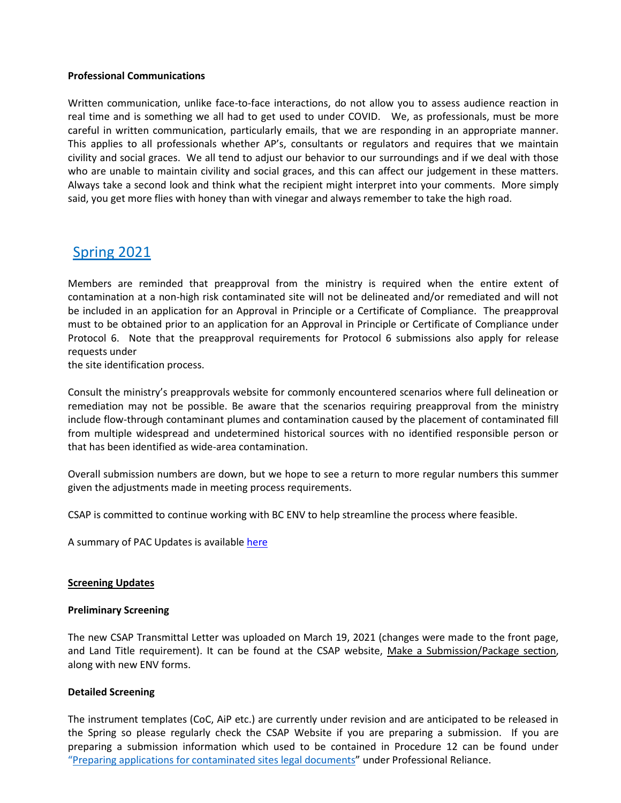#### **Professional Communications**

Written communication, unlike face-to-face interactions, do not allow you to assess audience reaction in real time and is something we all had to get used to under COVID. We, as professionals, must be more careful in written communication, particularly emails, that we are responding in an appropriate manner. This applies to all professionals whether AP's, consultants or regulators and requires that we maintain civility and social graces. We all tend to adjust our behavior to our surroundings and if we deal with those who are unable to maintain civility and social graces, and this can affect our judgement in these matters. Always take a second look and think what the recipient might interpret into your comments. More simply said, you get more flies with honey than with vinegar and always remember to take the high road.

# Spring 2021

Members are reminded that preapproval from the ministry is required when the entire extent of contamination at a non-high risk contaminated site will not be delineated and/or remediated and will not be included in an application for an Approval in Principle or a Certificate of Compliance. The preapproval must to be obtained prior to an application for an Approval in Principle or Certificate of Compliance under Protocol 6. Note that the preapproval requirements for Protocol 6 submissions also apply for release requests under

the site identification process.

Consult the ministry's preapprovals website for commonly encountered scenarios where full delineation or remediation may not be possible. Be aware that the scenarios requiring preapproval from the ministry include flow-through contaminant plumes and contamination caused by the placement of contaminated fill from multiple widespread and undetermined historical sources with no identified responsible person or that has been identified as wide-area contamination.

Overall submission numbers are down, but we hope to see a return to more regular numbers this summer given the adjustments made in meeting process requirements.

CSAP is committed to continue working with BC ENV to help streamline the process where feasible.

A summary of PAC Updates is available [here](https://csapsociety.bc.ca/wp-content/uploads/Performance-Assessment-Committee-Updates-Winter-2021.pdf)

### **Screening Updates**

#### **Preliminary Screening**

The new CSAP Transmittal Letter was uploaded on March 19, 2021 (changes were made to the front page, and Land Title requirement). It can be found at the CSAP website, [Make a Submission/Package section,](https://csapsociety.bc.ca/submission-package-forms/) along with new ENV forms.

### **Detailed Screening**

The instrument templates (CoC, AiP etc.) are currently under revision and are anticipated to be released in the Spring so please regularly check the CSAP Website if you are preparing a submission. If you are preparing a submission information which used to be contained in Procedure 12 can be found under "[Preparing applications for contaminated sites legal documents](https://www2.gov.bc.ca/gov/content?id=EF40AC4E5C93409C9832472101B7153A)" under Professional Reliance.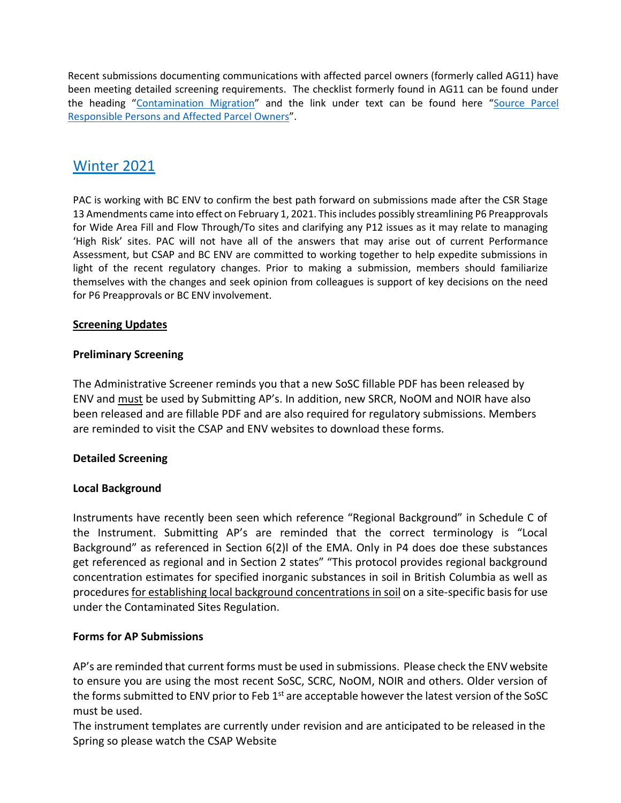Recent submissions documenting communications with affected parcel owners (formerly called AG11) have been meeting detailed screening requirements. The checklist formerly found in AG11 can be found under the heading "[Contamination Migration](https://www2.gov.bc.ca/gov/content?id=FC5FC6407168478D9CBB56C00427D5B7)" and the link under text can be found here "[Source Parcel](https://www2.gov.bc.ca/assets/gov/environment/air-land-water/site-remediation/docs/forms/migration_checklist.pdf)  [Responsible Persons and Affected Parcel Owners](https://www2.gov.bc.ca/assets/gov/environment/air-land-water/site-remediation/docs/forms/migration_checklist.pdf)".

# **Winter 2021**

PAC is working with BC ENV to confirm the best path forward on submissions made after the CSR Stage 13 Amendments came into effect on February 1, 2021. Thisincludes possibly streamlining P6 Preapprovals for Wide Area Fill and Flow Through/To sites and clarifying any P12 issues as it may relate to managing 'High Risk' sites. PAC will not have all of the answers that may arise out of current Performance Assessment, but CSAP and BC ENV are committed to working together to help expedite submissions in light of the recent regulatory changes. Prior to making a submission, members should familiarize themselves with the changes and seek opinion from colleagues is support of key decisions on the need for P6 Preapprovals or BC ENV involvement.

### **Screening Updates**

### **Preliminary Screening**

The Administrative Screener reminds you that a new SoSC fillable PDF has been released by ENV and must be used by Submitting AP's. In addition, new SRCR, NoOM and NOIR have also been released and are fillable PDF and are also required for regulatory submissions. Members are reminded to visit the CSAP and ENV websites to download these forms.

### **Detailed Screening**

### **Local Background**

Instruments have recently been seen which reference "Regional Background" in Schedule C of the Instrument. Submitting AP's are reminded that the correct terminology is "Local Background" as referenced in Section 6(2)l of the EMA. Only in P4 does doe these substances get referenced as regional and in Section 2 states" "This protocol provides regional background concentration estimates for specified inorganic substances in soil in British Columbia as well as proceduresfor establishing local background concentrations in soil on a site-specific basisfor use under the Contaminated Sites Regulation.

### **Forms for AP Submissions**

AP's are reminded that current forms must be used in submissions. Please check the ENV website to ensure you are using the most recent SoSC, SCRC, NoOM, NOIR and others. Older version of the forms submitted to ENV prior to Feb 1<sup>st</sup> are acceptable however the latest version of the SoSC must be used.

The instrument templates are currently under revision and are anticipated to be released in the Spring so please watch the CSAP Website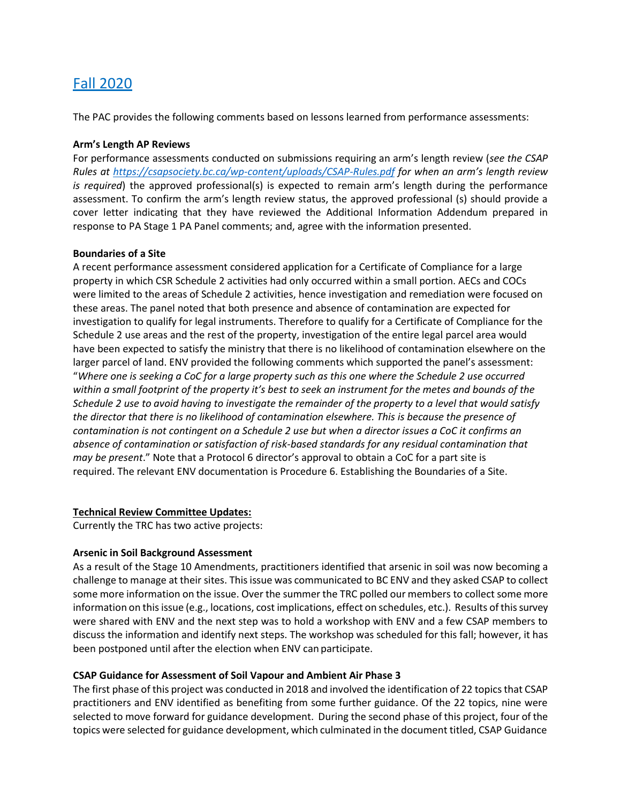# Fall 2020

The PAC provides the following comments based on lessons learned from performance assessments:

### **Arm's Length AP Reviews**

For performance assessments conducted on submissions requiring an arm's length review (*see the CSAP Rules at<https://csapsociety.bc.ca/wp-content/uploads/CSAP-Rules.pdf> for when an arm's length review is required*) the approved professional(s) is expected to remain arm's length during the performance assessment. To confirm the arm's length review status, the approved professional (s) should provide a cover letter indicating that they have reviewed the Additional Information Addendum prepared in response to PA Stage 1 PA Panel comments; and, agree with the information presented.

#### **Boundaries of a Site**

A recent performance assessment considered application for a Certificate of Compliance for a large property in which CSR Schedule 2 activities had only occurred within a small portion. AECs and COCs were limited to the areas of Schedule 2 activities, hence investigation and remediation were focused on these areas. The panel noted that both presence and absence of contamination are expected for investigation to qualify for legal instruments. Therefore to qualify for a Certificate of Compliance for the Schedule 2 use areas and the rest of the property, investigation of the entire legal parcel area would have been expected to satisfy the ministry that there is no likelihood of contamination elsewhere on the larger parcel of land. ENV provided the following comments which supported the panel's assessment: "*Where one is seeking a CoC for a large property such as this one where the Schedule 2 use occurred within a small footprint of the property it's best to seek an instrument for the metes and bounds of the Schedule 2 use to avoid having to investigate the remainder of the property to a level that would satisfy the director that there is no likelihood of contamination elsewhere. This is because the presence of contamination is not contingent on a Schedule 2 use but when a director issues a CoC it confirms an absence of contamination or satisfaction of risk-based standards for any residual contamination that may be present*." Note that a Protocol 6 director's approval to obtain a CoC for a part site is required. The relevant ENV documentation is Procedure 6. Establishing the Boundaries of a Site.

#### **Technical Review Committee Updates:**

Currently the TRC has two active projects:

### **Arsenic in Soil Background Assessment**

As a result of the Stage 10 Amendments, practitioners identified that arsenic in soil was now becoming a challenge to manage at their sites. Thisissue was communicated to BC ENV and they asked CSAP to collect some more information on the issue. Over the summer the TRC polled our members to collect some more information on this issue (e.g., locations, cost implications, effect on schedules, etc.). Results of this survey were shared with ENV and the next step was to hold a workshop with ENV and a few CSAP members to discuss the information and identify next steps. The workshop was scheduled for this fall; however, it has been postponed until after the election when ENV can participate.

### **CSAP Guidance for Assessment of Soil Vapour and Ambient Air Phase 3**

The first phase of this project was conducted in 2018 and involved the identification of 22 topicsthat CSAP practitioners and ENV identified as benefiting from some further guidance. Of the 22 topics, nine were selected to move forward for guidance development. During the second phase of this project, four of the topics were selected for guidance development, which culminated in the document titled, CSAP Guidance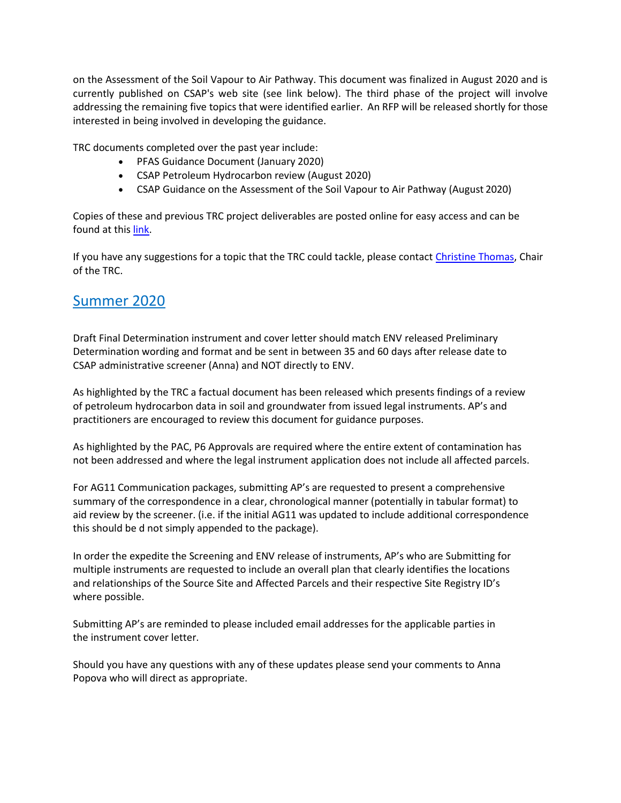on the Assessment of the Soil Vapour to Air Pathway. This document was finalized in August 2020 and is currently published on CSAP's web site (see link below). The third phase of the project will involve addressing the remaining five topics that were identified earlier. An RFP will be released shortly for those interested in being involved in developing the guidance.

TRC documents completed over the past year include:

- PFAS Guidance Document (January 2020)
- CSAP Petroleum Hydrocarbon review (August 2020)
- CSAP Guidance on the Assessment of the Soil Vapour to Air Pathway (August 2020)

Copies of these and previous TRC project deliverables are posted online for easy access and can be found at this [link.](https://csapsociety.bc.ca/members/professional-development/technical-studies/)

If you have any suggestions for a topic that the TRC could tackle, please contact [Christine Thomas,](mailto:christine_thomas@golder.com) Chair of the TRC.

# Summer 2020

Draft Final Determination instrument and cover letter should match ENV released Preliminary Determination wording and format and be sent in between 35 and 60 days after release date to CSAP administrative screener (Anna) and NOT directly to ENV.

As highlighted by the TRC a factual document has been released which presents findings of a review of petroleum hydrocarbon data in soil and groundwater from issued legal instruments. AP's and practitioners are encouraged to review this document for guidance purposes.

As highlighted by the PAC, P6 Approvals are required where the entire extent of contamination has not been addressed and where the legal instrument application does not include all affected parcels.

For AG11 Communication packages, submitting AP's are requested to present a comprehensive summary of the correspondence in a clear, chronological manner (potentially in tabular format) to aid review by the screener. (i.e. if the initial AG11 was updated to include additional correspondence this should be d not simply appended to the package).

In order the expedite the Screening and ENV release of instruments, AP's who are Submitting for multiple instruments are requested to include an overall plan that clearly identifies the locations and relationships of the Source Site and Affected Parcels and their respective Site Registry ID's where possible.

Submitting AP's are reminded to please included email addresses for the applicable parties in the instrument cover letter.

Should you have any questions with any of these updates please send your comments to Anna Popova who will direct as appropriate.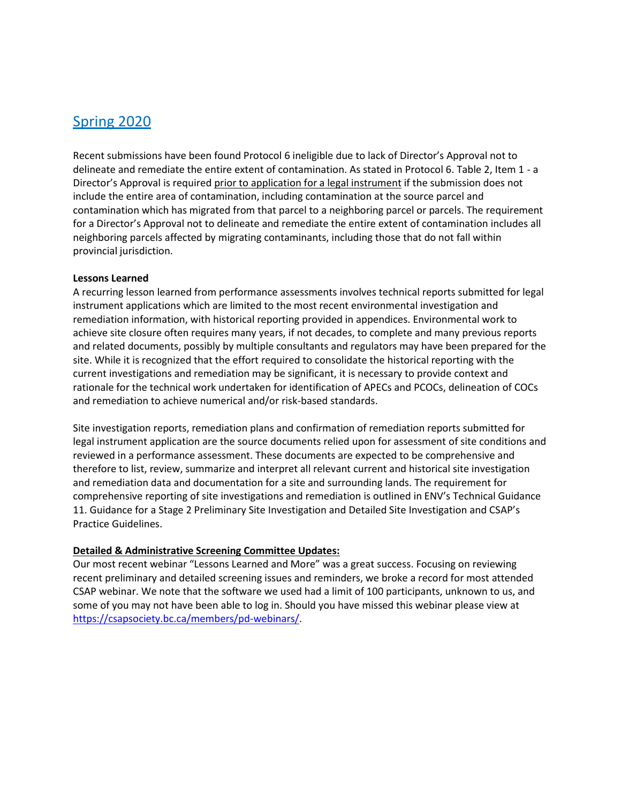# Spring 2020

Recent submissions have been found Protocol 6 ineligible due to lack of Director's Approval not to delineate and remediate the entire extent of contamination. As stated in Protocol 6. Table 2, Item 1 - a Director's Approval is required prior to application for a legal instrument if the submission does not include the entire area of contamination, including contamination at the source parcel and contamination which has migrated from that parcel to a neighboring parcel or parcels. The requirement for a Director's Approval not to delineate and remediate the entire extent of contamination includes all neighboring parcels affected by migrating contaminants, including those that do not fall within provincial jurisdiction.

### **Lessons Learned**

A recurring lesson learned from performance assessments involves technical reports submitted for legal instrument applications which are limited to the most recent environmental investigation and remediation information, with historical reporting provided in appendices. Environmental work to achieve site closure often requires many years, if not decades, to complete and many previous reports and related documents, possibly by multiple consultants and regulators may have been prepared for the site. While it is recognized that the effort required to consolidate the historical reporting with the current investigations and remediation may be significant, it is necessary to provide context and rationale for the technical work undertaken for identification of APECs and PCOCs, delineation of COCs and remediation to achieve numerical and/or risk-based standards.

Site investigation reports, remediation plans and confirmation of remediation reports submitted for legal instrument application are the source documents relied upon for assessment of site conditions and reviewed in a performance assessment. These documents are expected to be comprehensive and therefore to list, review, summarize and interpret all relevant current and historical site investigation and remediation data and documentation for a site and surrounding lands. The requirement for comprehensive reporting of site investigations and remediation is outlined in ENV's Technical Guidance 11. Guidance for a Stage 2 Preliminary Site Investigation and Detailed Site Investigation and CSAP's Practice Guidelines.

### **Detailed & Administrative Screening Committee Updates:**

Our most recent webinar "Lessons Learned and More" was a great success. Focusing on reviewing recent preliminary and detailed screening issues and reminders, we broke a record for most attended CSAP webinar. We note that the software we used had a limit of 100 participants, unknown to us, and some of you may not have been able to log in. Should you have missed this webinar please view at [https://csapsociety.bc.ca/members/pd-webinars/.](https://csapsociety.bc.ca/members/pd-webinars/)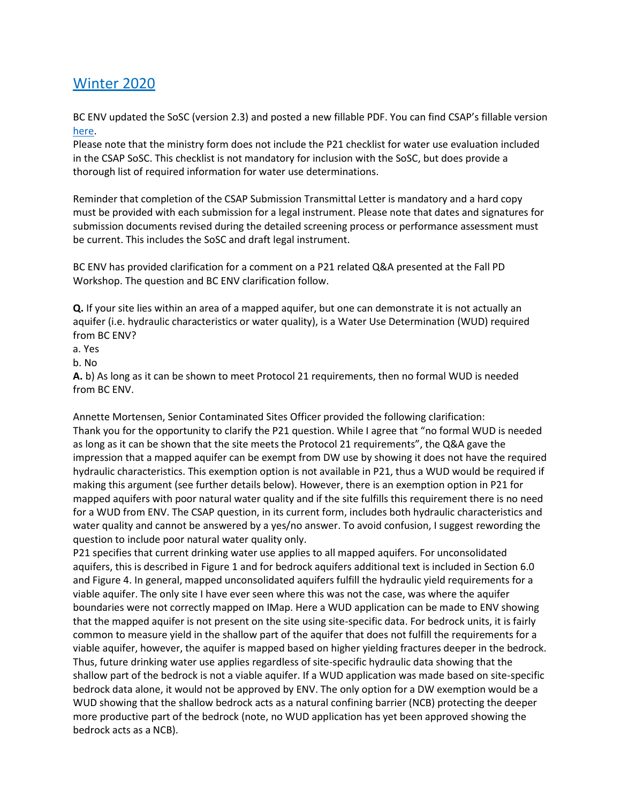# Winter 2020

BC ENV updated the SoSC (version 2.3) and posted a new fillable PDF. You can find CSAP's fillable version [here.](https://csapsociety.bc.ca/submission-package-forms/)

Please note that the ministry form does not include the P21 checklist for water use evaluation included in the CSAP SoSC. This checklist is not mandatory for inclusion with the SoSC, but does provide a thorough list of required information for water use determinations.

Reminder that completion of the CSAP Submission Transmittal Letter is mandatory and a hard copy must be provided with each submission for a legal instrument. Please note that dates and signatures for submission documents revised during the detailed screening process or performance assessment must be current. This includes the SoSC and draft legal instrument.

BC ENV has provided clarification for a comment on a P21 related Q&A presented at the Fall PD Workshop. The question and BC ENV clarification follow.

**Q.** If your site lies within an area of a mapped aquifer, but one can demonstrate it is not actually an aquifer (i.e. hydraulic characteristics or water quality), is a Water Use Determination (WUD) required from BC ENV?

- a. Yes
- b. No

**A.** b) As long as it can be shown to meet Protocol 21 requirements, then no formal WUD is needed from BC ENV.

Annette Mortensen, Senior Contaminated Sites Officer provided the following clarification: Thank you for the opportunity to clarify the P21 question. While I agree that "no formal WUD is needed as long as it can be shown that the site meets the Protocol 21 requirements", the Q&A gave the impression that a mapped aquifer can be exempt from DW use by showing it does not have the required hydraulic characteristics. This exemption option is not available in P21, thus a WUD would be required if making this argument (see further details below). However, there is an exemption option in P21 for mapped aquifers with poor natural water quality and if the site fulfills this requirement there is no need for a WUD from ENV. The CSAP question, in its current form, includes both hydraulic characteristics and water quality and cannot be answered by a yes/no answer. To avoid confusion, I suggest rewording the question to include poor natural water quality only.

P21 specifies that current drinking water use applies to all mapped aquifers. For unconsolidated aquifers, this is described in Figure 1 and for bedrock aquifers additional text is included in Section 6.0 and Figure 4. In general, mapped unconsolidated aquifers fulfill the hydraulic yield requirements for a viable aquifer. The only site I have ever seen where this was not the case, was where the aquifer boundaries were not correctly mapped on IMap. Here a WUD application can be made to ENV showing that the mapped aquifer is not present on the site using site-specific data. For bedrock units, it is fairly common to measure yield in the shallow part of the aquifer that does not fulfill the requirements for a viable aquifer, however, the aquifer is mapped based on higher yielding fractures deeper in the bedrock. Thus, future drinking water use applies regardless of site-specific hydraulic data showing that the shallow part of the bedrock is not a viable aquifer. If a WUD application was made based on site-specific bedrock data alone, it would not be approved by ENV. The only option for a DW exemption would be a WUD showing that the shallow bedrock acts as a natural confining barrier (NCB) protecting the deeper more productive part of the bedrock (note, no WUD application has yet been approved showing the bedrock acts as a NCB).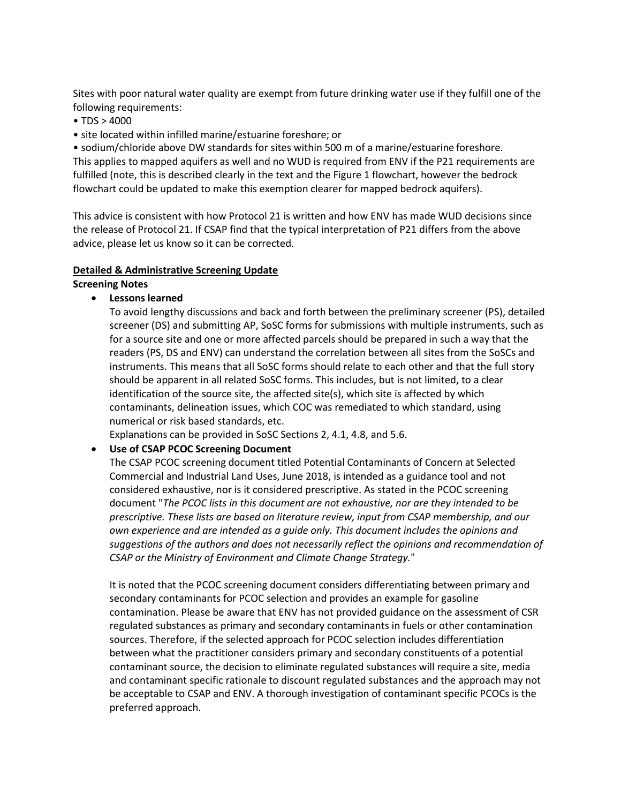Sites with poor natural water quality are exempt from future drinking water use if they fulfill one of the following requirements:

- TDS > 4000
- site located within infilled marine/estuarine foreshore; or

• sodium/chloride above DW standards for sites within 500 m of a marine/estuarine foreshore. This applies to mapped aquifers as well and no WUD is required from ENV if the P21 requirements are fulfilled (note, this is described clearly in the text and the Figure 1 flowchart, however the bedrock flowchart could be updated to make this exemption clearer for mapped bedrock aquifers).

This advice is consistent with how Protocol 21 is written and how ENV has made WUD decisions since the release of Protocol 21. If CSAP find that the typical interpretation of P21 differs from the above advice, please let us know so it can be corrected.

#### **Detailed & Administrative Screening Update**

#### **Screening Notes**

• **Lessons learned**

To avoid lengthy discussions and back and forth between the preliminary screener (PS), detailed screener (DS) and submitting AP, SoSC forms for submissions with multiple instruments, such as for a source site and one or more affected parcels should be prepared in such a way that the readers (PS, DS and ENV) can understand the correlation between all sites from the SoSCs and instruments. This means that all SoSC forms should relate to each other and that the full story should be apparent in all related SoSC forms. This includes, but is not limited, to a clear identification of the source site, the affected site(s), which site is affected by which contaminants, delineation issues, which COC was remediated to which standard, using numerical or risk based standards, etc.

Explanations can be provided in SoSC Sections 2, 4.1, 4.8, and 5.6.

### • **Use of CSAP PCOC Screening Document**

The CSAP PCOC screening document titled Potential Contaminants of Concern at Selected Commercial and Industrial Land Uses, June 2018, is intended as a guidance tool and not considered exhaustive, nor is it considered prescriptive. As stated in the PCOC screening document "*The PCOC lists in this document are not exhaustive, nor are they intended to be prescriptive. These lists are based on literature review, input from CSAP membership, and our own experience and are intended as a guide only. This document includes the opinions and suggestions of the authors and does not necessarily reflect the opinions and recommendation of CSAP or the Ministry of Environment and Climate Change Strategy.*"

It is noted that the PCOC screening document considers differentiating between primary and secondary contaminants for PCOC selection and provides an example for gasoline contamination. Please be aware that ENV has not provided guidance on the assessment of CSR regulated substances as primary and secondary contaminants in fuels or other contamination sources. Therefore, if the selected approach for PCOC selection includes differentiation between what the practitioner considers primary and secondary constituents of a potential contaminant source, the decision to eliminate regulated substances will require a site, media and contaminant specific rationale to discount regulated substances and the approach may not be acceptable to CSAP and ENV. A thorough investigation of contaminant specific PCOCs is the preferred approach.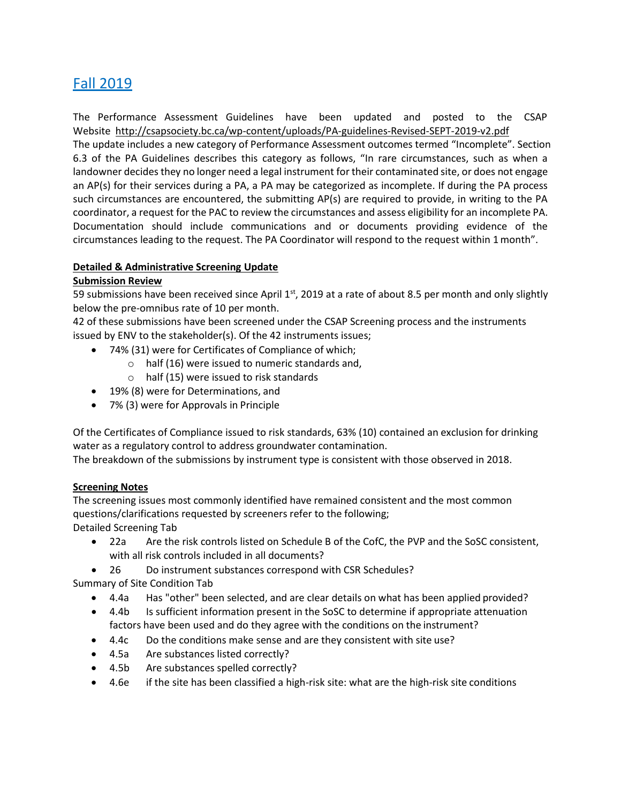# Fall 2019

The Performance Assessment Guidelines have been updated and posted to the CSAP Website <http://csapsociety.bc.ca/wp-content/uploads/PA-guidelines-Revised-SEPT-2019-v2.pdf> The update includes a new category of Performance Assessment outcomes termed "Incomplete". Section 6.3 of the PA Guidelines describes this category as follows, "In rare circumstances, such as when a landowner decides they no longer need a legal instrument for their contaminated site, or does not engage an AP(s) for their services during a PA, a PA may be categorized as incomplete. If during the PA process such circumstances are encountered, the submitting AP(s) are required to provide, in writing to the PA coordinator, a request for the PAC to review the circumstances and assess eligibility for an incomplete PA. Documentation should include communications and or documents providing evidence of the circumstances leading to the request. The PA Coordinator will respond to the request within 1 month".

### **Detailed & Administrative Screening Update**

### **Submission Review**

59 submissions have been received since April  $1^{st}$ , 2019 at a rate of about 8.5 per month and only slightly below the pre-omnibus rate of 10 per month.

42 of these submissions have been screened under the CSAP Screening process and the instruments issued by ENV to the stakeholder(s). Of the 42 instruments issues;

- 74% (31) were for Certificates of Compliance of which;
	- $\circ$  half (16) were issued to numeric standards and,
	- o half (15) were issued to risk standards
- 19% (8) were for Determinations, and
- 7% (3) were for Approvals in Principle

Of the Certificates of Compliance issued to risk standards, 63% (10) contained an exclusion for drinking water as a regulatory control to address groundwater contamination.

The breakdown of the submissions by instrument type is consistent with those observed in 2018.

### **Screening Notes**

The screening issues most commonly identified have remained consistent and the most common questions/clarifications requested by screeners refer to the following; Detailed Screening Tab

- 22a Are the risk controls listed on Schedule B of the CofC, the PVP and the SoSC consistent, with all risk controls included in all documents?
- 26 Do instrument substances correspond with CSR Schedules?

Summary of Site Condition Tab

- 4.4a Has "other" been selected, and are clear details on what has been applied provided?
- 4.4b Is sufficient information present in the SoSC to determine if appropriate attenuation factors have been used and do they agree with the conditions on the instrument?
- 4.4c Do the conditions make sense and are they consistent with site use?
- 4.5a Are substances listed correctly?
- 4.5b Are substances spelled correctly?
- 4.6e if the site has been classified a high-risk site: what are the high-risk site conditions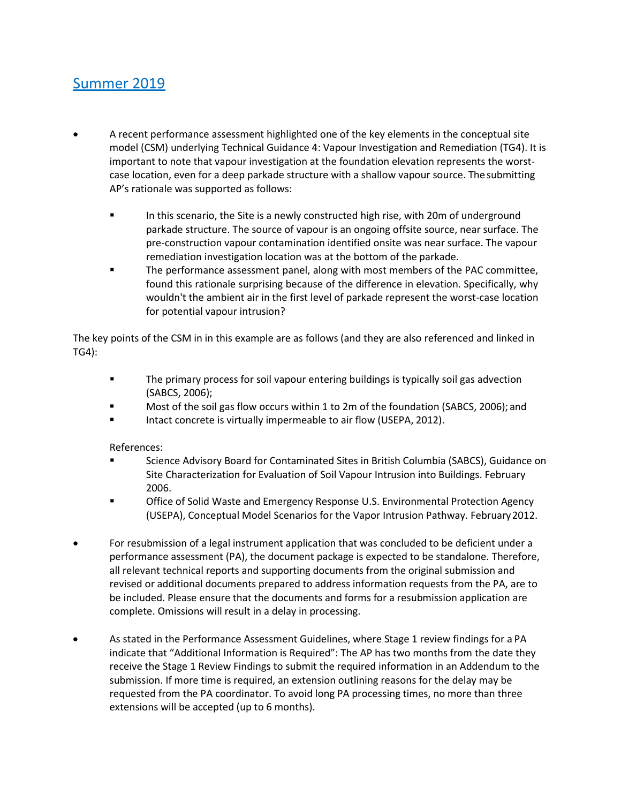# Summer 2019

- A recent performance assessment highlighted one of the key elements in the conceptual site model (CSM) underlying Technical Guidance 4: Vapour Investigation and Remediation (TG4). It is important to note that vapour investigation at the foundation elevation represents the worstcase location, even for a deep parkade structure with a shallow vapour source. The submitting AP's rationale was supported as follows:
	- **■** In this scenario, the Site is a newly constructed high rise, with 20m of underground parkade structure. The source of vapour is an ongoing offsite source, near surface. The pre-construction vapour contamination identified onsite was near surface. The vapour remediation investigation location was at the bottom of the parkade.
	- The performance assessment panel, along with most members of the PAC committee, found this rationale surprising because of the difference in elevation. Specifically, why wouldn't the ambient air in the first level of parkade represent the worst-case location for potential vapour intrusion?

The key points of the CSM in in this example are as follows (and they are also referenced and linked in TG4):

- **•** The primary process for soil vapour entering buildings is typically soil gas advection (SABCS, 2006);
- Most of the soil gas flow occurs within 1 to 2m of the foundation (SABCS, 2006); and
- Intact concrete is virtually impermeable to air flow (USEPA, 2012).

References:

- Science Advisory Board for Contaminated Sites in British Columbia (SABCS), Guidance on Site Characterization for Evaluation of Soil Vapour Intrusion into Buildings. February 2006.
- Office of Solid Waste and Emergency Response U.S. Environmental Protection Agency (USEPA), Conceptual Model Scenarios for the Vapor Intrusion Pathway. February2012.
- For resubmission of a legal instrument application that was concluded to be deficient under a performance assessment (PA), the document package is expected to be standalone. Therefore, all relevant technical reports and supporting documents from the original submission and revised or additional documents prepared to address information requests from the PA, are to be included. Please ensure that the documents and forms for a resubmission application are complete. Omissions will result in a delay in processing.
- As stated in the Performance Assessment Guidelines, where Stage 1 review findings for a PA indicate that "Additional Information is Required": The AP has two months from the date they receive the Stage 1 Review Findings to submit the required information in an Addendum to the submission. If more time is required, an extension outlining reasons for the delay may be requested from the PA coordinator. To avoid long PA processing times, no more than three extensions will be accepted (up to 6 months).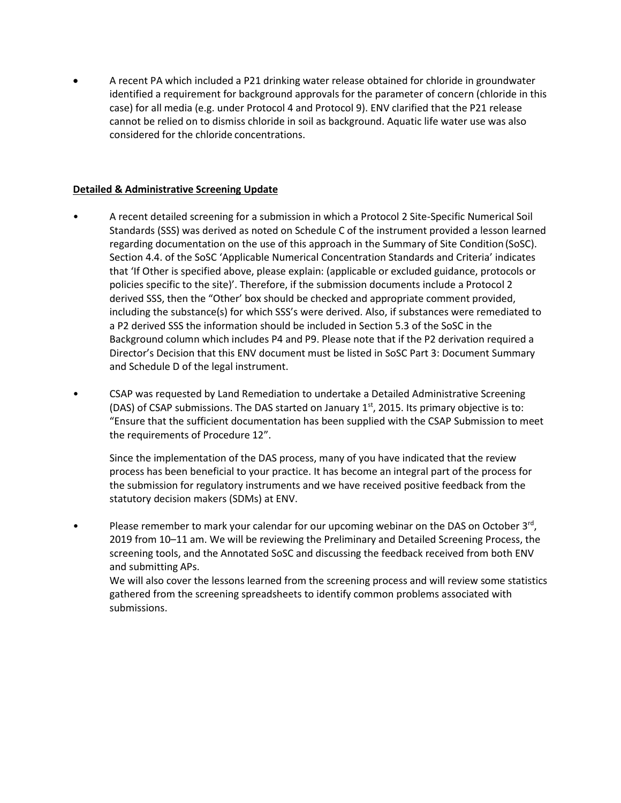• A recent PA which included a P21 drinking water release obtained for chloride in groundwater identified a requirement for background approvals for the parameter of concern (chloride in this case) for all media (e.g. under Protocol 4 and Protocol 9). ENV clarified that the P21 release cannot be relied on to dismiss chloride in soil as background. Aquatic life water use was also considered for the chloride concentrations.

### **Detailed & Administrative Screening Update**

- A recent detailed screening for a submission in which a Protocol 2 Site-Specific Numerical Soil Standards (SSS) was derived as noted on Schedule C of the instrument provided a lesson learned regarding documentation on the use of this approach in the Summary of Site Condition (SoSC). Section 4.4. of the SoSC 'Applicable Numerical Concentration Standards and Criteria' indicates that 'If Other is specified above, please explain: (applicable or excluded guidance, protocols or policies specific to the site)'. Therefore, if the submission documents include a Protocol 2 derived SSS, then the "Other' box should be checked and appropriate comment provided, including the substance(s) for which SSS's were derived. Also, if substances were remediated to a P2 derived SSS the information should be included in Section 5.3 of the SoSC in the Background column which includes P4 and P9. Please note that if the P2 derivation required a Director's Decision that this ENV document must be listed in SoSC Part 3: Document Summary and Schedule D of the legal instrument.
- CSAP was requested by Land Remediation to undertake a Detailed Administrative Screening (DAS) of CSAP submissions. The DAS started on January  $1<sup>st</sup>$ , 2015. Its primary objective is to: "Ensure that the sufficient documentation has been supplied with the CSAP Submission to meet the requirements of Procedure 12".

Since the implementation of the DAS process, many of you have indicated that the review process has been beneficial to your practice. It has become an integral part of the process for the submission for regulatory instruments and we have received positive feedback from the statutory decision makers (SDMs) at ENV.

• Please remember to mark your calendar for our upcoming webinar on the DAS on October 3rd, 2019 from 10–11 am. We will be reviewing the Preliminary and Detailed Screening Process, the screening tools, and the Annotated SoSC and discussing the feedback received from both ENV and submitting APs.

We will also cover the lessons learned from the screening process and will review some statistics gathered from the screening spreadsheets to identify common problems associated with submissions.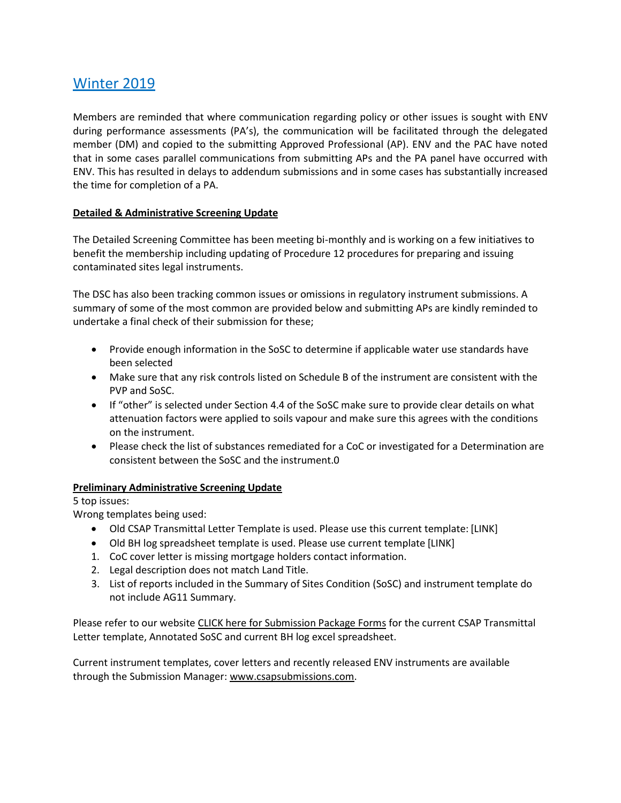# Winter 2019

Members are reminded that where communication regarding policy or other issues is sought with ENV during performance assessments (PA's), the communication will be facilitated through the delegated member (DM) and copied to the submitting Approved Professional (AP). ENV and the PAC have noted that in some cases parallel communications from submitting APs and the PA panel have occurred with ENV. This has resulted in delays to addendum submissions and in some cases has substantially increased the time for completion of a PA.

### **Detailed & Administrative Screening Update**

The Detailed Screening Committee has been meeting bi-monthly and is working on a few initiatives to benefit the membership including updating of Procedure 12 procedures for preparing and issuing contaminated sites legal instruments.

The DSC has also been tracking common issues or omissions in regulatory instrument submissions. A summary of some of the most common are provided below and submitting APs are kindly reminded to undertake a final check of their submission for these;

- Provide enough information in the SoSC to determine if applicable water use standards have been selected
- Make sure that any risk controls listed on Schedule B of the instrument are consistent with the PVP and SoSC.
- If "other" is selected under Section 4.4 of the SoSC make sure to provide clear details on what attenuation factors were applied to soils vapour and make sure this agrees with the conditions on the instrument.
- Please check the list of substances remediated for a CoC or investigated for a Determination are consistent between the SoSC and the instrument.0

### **Preliminary Administrative Screening Update**

5 top issues:

Wrong templates being used:

- Old CSAP Transmittal Letter Template is used. Please use this current template: [LINK]
- Old BH log spreadsheet template is used. Please use current template [LINK]
- 1. CoC cover letter is missing mortgage holders contact information.
- 2. Legal description does not match Land Title.
- 3. List of reports included in the Summary of Sites Condition (SoSC) and instrument template do not include AG11 Summary.

Please refer to our website [CLICK here for Submission Package Forms](http://csapsociety.bc.ca/submission-package-forms/) for the current CSAP Transmittal Letter template, Annotated SoSC and current BH log excel spreadsheet.

Current instrument templates, cover letters and recently released ENV instruments are available through the Submission Manager[: www.csapsubmissions.com.](http://www.csapsubmissions.com/)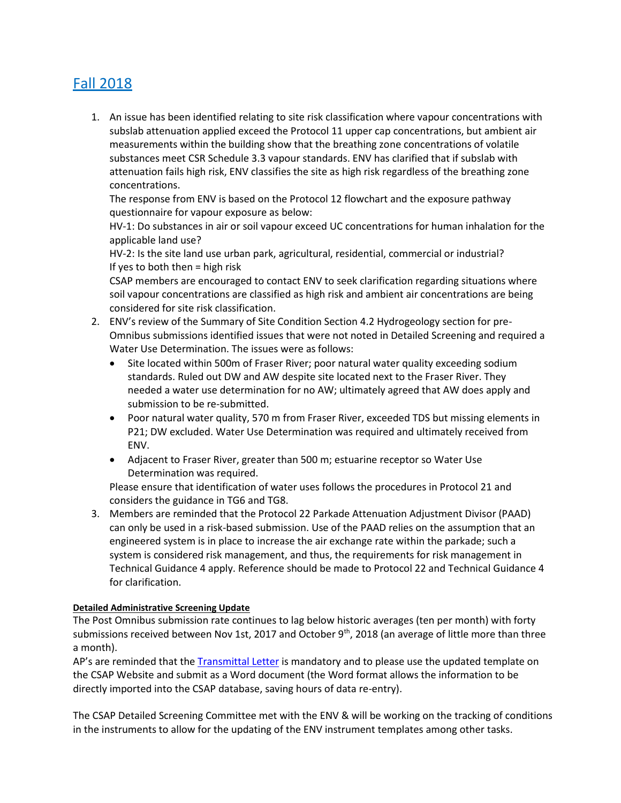# Fall 2018

1. An issue has been identified relating to site risk classification where vapour concentrations with subslab attenuation applied exceed the Protocol 11 upper cap concentrations, but ambient air measurements within the building show that the breathing zone concentrations of volatile substances meet CSR Schedule 3.3 vapour standards. ENV has clarified that if subslab with attenuation fails high risk, ENV classifies the site as high risk regardless of the breathing zone concentrations.

The response from ENV is based on the Protocol 12 flowchart and the exposure pathway questionnaire for vapour exposure as below:

HV-1: Do substances in air or soil vapour exceed UC concentrations for human inhalation for the applicable land use?

HV-2: Is the site land use urban park, agricultural, residential, commercial or industrial? If yes to both then = high risk

CSAP members are encouraged to contact ENV to seek clarification regarding situations where soil vapour concentrations are classified as high risk and ambient air concentrations are being considered for site risk classification.

- 2. ENV's review of the Summary of Site Condition Section 4.2 Hydrogeology section for pre-Omnibus submissions identified issues that were not noted in Detailed Screening and required a Water Use Determination. The issues were as follows:
	- Site located within 500m of Fraser River; poor natural water quality exceeding sodium standards. Ruled out DW and AW despite site located next to the Fraser River. They needed a water use determination for no AW; ultimately agreed that AW does apply and submission to be re-submitted.
	- Poor natural water quality, 570 m from Fraser River, exceeded TDS but missing elements in P21; DW excluded. Water Use Determination was required and ultimately received from ENV.
	- Adjacent to Fraser River, greater than 500 m; estuarine receptor so Water Use Determination was required.

Please ensure that identification of water uses follows the procedures in Protocol 21 and considers the guidance in TG6 and TG8.

3. Members are reminded that the Protocol 22 Parkade Attenuation Adjustment Divisor (PAAD) can only be used in a risk-based submission. Use of the PAAD relies on the assumption that an engineered system is in place to increase the air exchange rate within the parkade; such a system is considered risk management, and thus, the requirements for risk management in Technical Guidance 4 apply. Reference should be made to Protocol 22 and Technical Guidance 4 for clarification.

### **Detailed Administrative Screening Update**

The Post Omnibus submission rate continues to lag below historic averages (ten per month) with forty submissions received between Nov 1st, 2017 and October 9<sup>th</sup>, 2018 (an average of little more than three a month).

AP's are reminded that the **[Transmittal Letter](https://csapsociety.bc.ca/members/make-a-submission/)** is mandatory and to please use the updated template on the CSAP Website and submit as a Word document (the Word format allows the information to be directly imported into the CSAP database, saving hours of data re-entry).

The CSAP Detailed Screening Committee met with the ENV & will be working on the tracking of conditions in the instruments to allow for the updating of the ENV instrument templates among other tasks.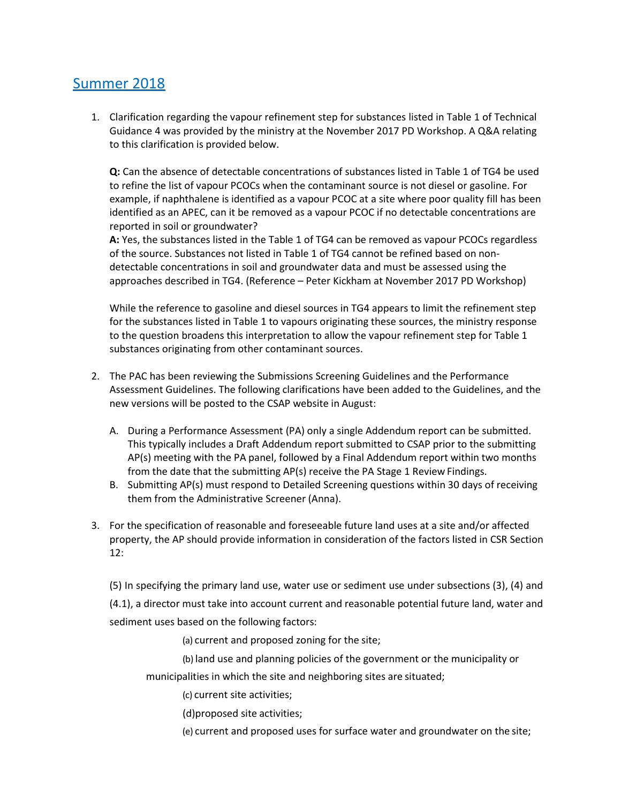# Summer 2018

1. Clarification regarding the vapour refinement step for substances listed in Table 1 of Technical Guidance 4 was provided by the ministry at the November 2017 PD Workshop. A Q&A relating to this clarification is provided below.

**Q:** Can the absence of detectable concentrations of substances listed in Table 1 of TG4 be used to refine the list of vapour PCOCs when the contaminant source is not diesel or gasoline. For example, if naphthalene is identified as a vapour PCOC at a site where poor quality fill has been identified as an APEC, can it be removed as a vapour PCOC if no detectable concentrations are reported in soil or groundwater?

**A:** Yes, the substances listed in the Table 1 of TG4 can be removed as vapour PCOCs regardless of the source. Substances not listed in Table 1 of TG4 cannot be refined based on nondetectable concentrations in soil and groundwater data and must be assessed using the approaches described in TG4. (Reference – Peter Kickham at November 2017 PD Workshop)

While the reference to gasoline and diesel sources in TG4 appears to limit the refinement step for the substances listed in Table 1 to vapours originating these sources, the ministry response to the question broadens this interpretation to allow the vapour refinement step for Table 1 substances originating from other contaminant sources.

- 2. The PAC has been reviewing the Submissions Screening Guidelines and the Performance Assessment Guidelines. The following clarifications have been added to the Guidelines, and the new versions will be posted to the CSAP website in August:
	- A. During a Performance Assessment (PA) only a single Addendum report can be submitted. This typically includes a Draft Addendum report submitted to CSAP prior to the submitting AP(s) meeting with the PA panel, followed by a Final Addendum report within two months from the date that the submitting AP(s) receive the PA Stage 1 Review Findings.
	- B. Submitting AP(s) must respond to Detailed Screening questions within 30 days of receiving them from the Administrative Screener (Anna).
- 3. For the specification of reasonable and foreseeable future land uses at a site and/or affected property, the AP should provide information in consideration of the factors listed in CSR Section 12:

(5) In specifying the primary land use, water use or sediment use under subsections (3), (4) and

(4.1), a director must take into account current and reasonable potential future land, water and sediment uses based on the following factors:

(a) current and proposed zoning for the site;

(b) land use and planning policies of the government or the municipality or

municipalities in which the site and neighboring sites are situated;

(c) current site activities;

(d)proposed site activities;

(e) current and proposed uses for surface water and groundwater on the site;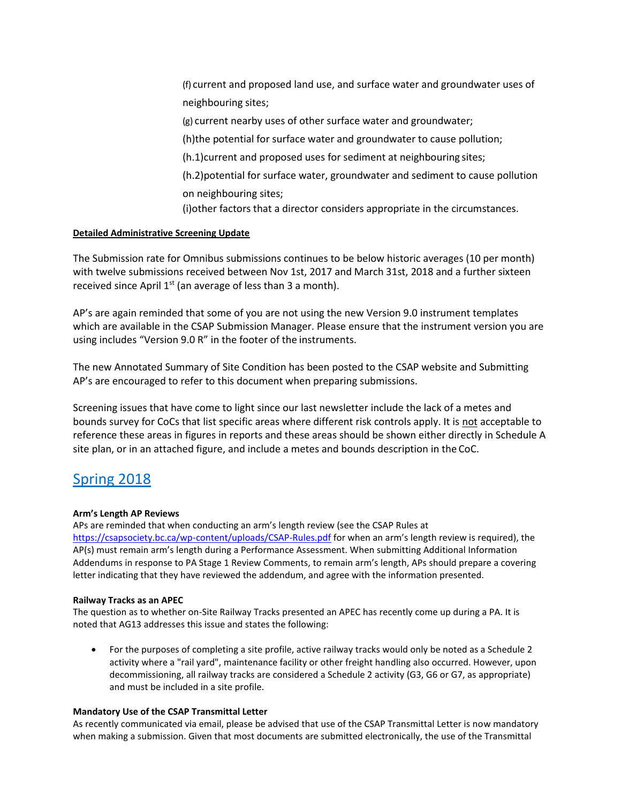(f) current and proposed land use, and surface water and groundwater uses of neighbouring sites;

(g) current nearby uses of other surface water and groundwater;

(h)the potential for surface water and groundwater to cause pollution;

(h.1)current and proposed uses for sediment at neighbouring sites;

(h.2)potential for surface water, groundwater and sediment to cause pollution on neighbouring sites;

(i)other factors that a director considers appropriate in the circumstances.

#### **Detailed Administrative Screening Update**

The Submission rate for Omnibus submissions continues to be below historic averages (10 per month) with twelve submissions received between Nov 1st, 2017 and March 31st, 2018 and a further sixteen received since April  $1^{st}$  (an average of less than 3 a month).

AP's are again reminded that some of you are not using the new Version 9.0 instrument templates which are available in the CSAP Submission Manager. Please ensure that the instrument version you are using includes "Version 9.0 R" in the footer of the instruments.

The new Annotated Summary of Site Condition has been posted to the CSAP website and Submitting AP's are encouraged to refer to this document when preparing submissions.

Screening issues that have come to light since our last newsletter include the lack of a metes and bounds survey for CoCs that list specific areas where different risk controls apply. It is not acceptable to reference these areas in figures in reports and these areas should be shown either directly in Schedule A site plan, or in an attached figure, and include a metes and bounds description in the CoC.

# Spring 2018

#### **Arm's Length AP Reviews**

APs are reminded that when conducting an arm's length review (see the CSAP Rules at <https://csapsociety.bc.ca/wp-content/uploads/CSAP-Rules.pdf> for when an arm's length review is required), the AP(s) must remain arm's length during a Performance Assessment. When submitting Additional Information Addendums in response to PA Stage 1 Review Comments, to remain arm's length, APs should prepare a covering letter indicating that they have reviewed the addendum, and agree with the information presented.

#### **Railway Tracks as an APEC**

The question as to whether on-Site Railway Tracks presented an APEC has recently come up during a PA. It is noted that AG13 addresses this issue and states the following:

• For the purposes of completing a site profile, active railway tracks would only be noted as a Schedule 2 activity where a "rail yard", maintenance facility or other freight handling also occurred. However, upon decommissioning, all railway tracks are considered a Schedule 2 activity (G3, G6 or G7, as appropriate) and must be included in a site profile.

#### **Mandatory Use of the CSAP Transmittal Letter**

As recently communicated via email, please be advised that use of the CSAP Transmittal Letter is now mandatory when making a submission. Given that most documents are submitted electronically, the use of the Transmittal